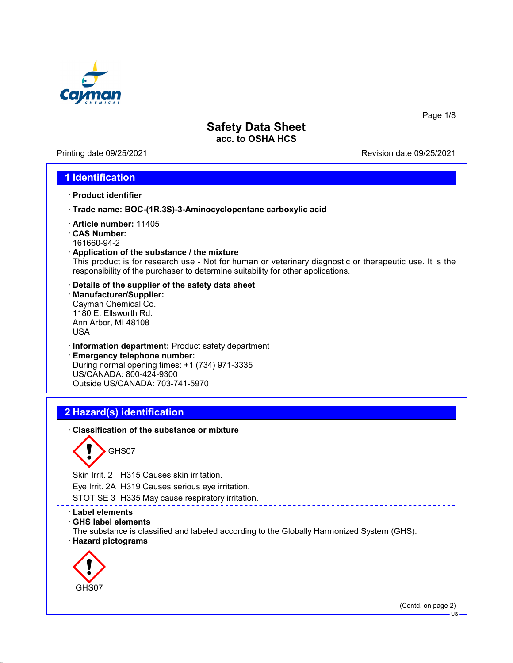

Printing date 09/25/2021 Revision date 09/25/2021

Page 1/8

### **1 Identification**

- · **Product identifier**
- · **Trade name: BOC-(1R,3S)-3-Aminocyclopentane carboxylic acid**
- · **Article number:** 11405
- · **CAS Number:**
- 161660-94-2
- · **Application of the substance / the mixture** This product is for research use - Not for human or veterinary diagnostic or therapeutic use. It is the responsibility of the purchaser to determine suitability for other applications.
- · **Details of the supplier of the safety data sheet**
- · **Manufacturer/Supplier:** Cayman Chemical Co. 1180 E. Ellsworth Rd. Ann Arbor, MI 48108 USA
- · **Information department:** Product safety department
- · **Emergency telephone number:** During normal opening times: +1 (734) 971-3335 US/CANADA: 800-424-9300 Outside US/CANADA: 703-741-5970

## **2 Hazard(s) identification**

· **Classification of the substance or mixture**

GHS07

Skin Irrit. 2 H315 Causes skin irritation.

Eye Irrit. 2A H319 Causes serious eye irritation.

STOT SE 3 H335 May cause respiratory irritation.

- · **Label elements**
- · **GHS label elements**
- The substance is classified and labeled according to the Globally Harmonized System (GHS). · **Hazard pictograms**



(Contd. on page 2)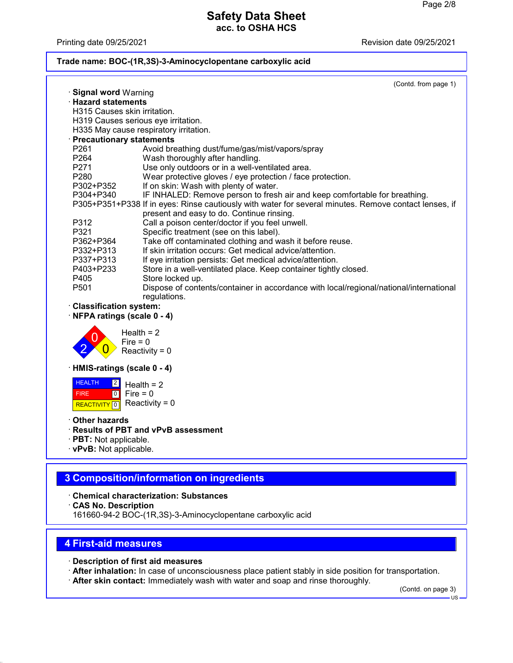Printing date 09/25/2021 **Printing date 09/25/2021** 

#### **Trade name: BOC-(1R,3S)-3-Aminocyclopentane carboxylic acid**

|                                                                     | (Contd. from page 1)                                                                                  |  |  |  |
|---------------------------------------------------------------------|-------------------------------------------------------------------------------------------------------|--|--|--|
| · Signal word Warning                                               |                                                                                                       |  |  |  |
| $\cdot$ Hazard statements                                           |                                                                                                       |  |  |  |
| H315 Causes skin irritation.<br>H319 Causes serious eye irritation. |                                                                                                       |  |  |  |
| H335 May cause respiratory irritation.                              |                                                                                                       |  |  |  |
| · Precautionary statements                                          |                                                                                                       |  |  |  |
| P <sub>261</sub>                                                    | Avoid breathing dust/fume/gas/mist/vapors/spray                                                       |  |  |  |
| P <sub>264</sub>                                                    | Wash thoroughly after handling.                                                                       |  |  |  |
| P271                                                                | Use only outdoors or in a well-ventilated area.                                                       |  |  |  |
| P <sub>280</sub>                                                    | Wear protective gloves / eye protection / face protection.                                            |  |  |  |
| P302+P352                                                           | If on skin: Wash with plenty of water.                                                                |  |  |  |
| P304+P340                                                           | IF INHALED: Remove person to fresh air and keep comfortable for breathing.                            |  |  |  |
|                                                                     | P305+P351+P338 If in eyes: Rinse cautiously with water for several minutes. Remove contact lenses, if |  |  |  |
| P312                                                                | present and easy to do. Continue rinsing.<br>Call a poison center/doctor if you feel unwell.          |  |  |  |
| P321                                                                | Specific treatment (see on this label).                                                               |  |  |  |
| P362+P364                                                           | Take off contaminated clothing and wash it before reuse.                                              |  |  |  |
| P332+P313                                                           | If skin irritation occurs: Get medical advice/attention.                                              |  |  |  |
| P337+P313                                                           | If eye irritation persists: Get medical advice/attention.                                             |  |  |  |
| P403+P233                                                           | Store in a well-ventilated place. Keep container tightly closed.                                      |  |  |  |
| P405                                                                | Store locked up.                                                                                      |  |  |  |
| P <sub>501</sub>                                                    | Dispose of contents/container in accordance with local/regional/national/international                |  |  |  |
|                                                                     | regulations.                                                                                          |  |  |  |
| <b>Classification system:</b>                                       |                                                                                                       |  |  |  |
| NFPA ratings (scale 0 - 4)                                          |                                                                                                       |  |  |  |
| Health $= 2$                                                        |                                                                                                       |  |  |  |
| Fire = $0$                                                          |                                                                                                       |  |  |  |
| Reactivity = $0$                                                    |                                                                                                       |  |  |  |
| · HMIS-ratings (scale 0 - 4)                                        |                                                                                                       |  |  |  |
| <b>HEALTH</b><br>$\boxed{2}$<br>Health = $2$                        |                                                                                                       |  |  |  |
| Fire = $0$<br><b>FIRE</b><br> 0                                     |                                                                                                       |  |  |  |
| Reactivity = $0$<br><b>REACTIVITY</b><br>$\overline{0}$             |                                                                                                       |  |  |  |
| Other hazards                                                       |                                                                                                       |  |  |  |

- · **Results of PBT and vPvB assessment**
- · **PBT:** Not applicable.
- · **vPvB:** Not applicable.

# **3 Composition/information on ingredients**

- · **Chemical characterization: Substances**
- · **CAS No. Description**
- 161660-94-2 BOC-(1R,3S)-3-Aminocyclopentane carboxylic acid

## **4 First-aid measures**

- · **Description of first aid measures**
- · **After inhalation:** In case of unconsciousness place patient stably in side position for transportation.
- · **After skin contact:** Immediately wash with water and soap and rinse thoroughly.

(Contd. on page 3)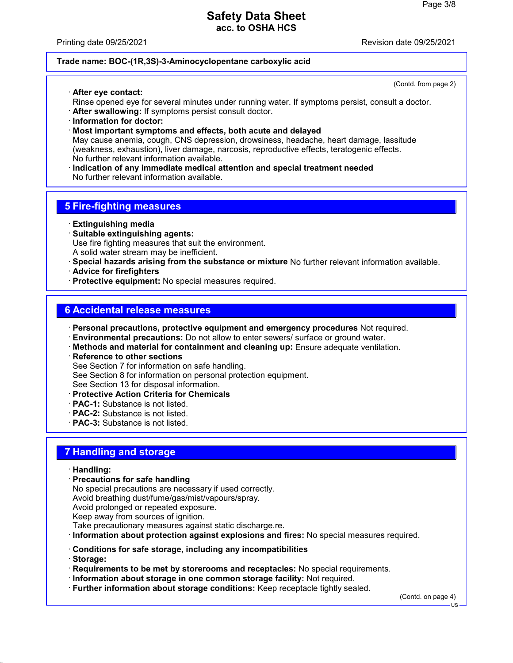Printing date 09/25/2021 Revision date 09/25/2021

#### **Trade name: BOC-(1R,3S)-3-Aminocyclopentane carboxylic acid**

· **After eye contact:**

(Contd. from page 2)

- Rinse opened eye for several minutes under running water. If symptoms persist, consult a doctor.
- · **After swallowing:** If symptoms persist consult doctor.
- · **Information for doctor:**
- · **Most important symptoms and effects, both acute and delayed**

May cause anemia, cough, CNS depression, drowsiness, headache, heart damage, lassitude (weakness, exhaustion), liver damage, narcosis, reproductive effects, teratogenic effects. No further relevant information available.

· **Indication of any immediate medical attention and special treatment needed** No further relevant information available.

## **5 Fire-fighting measures**

- · **Extinguishing media**
- · **Suitable extinguishing agents:** Use fire fighting measures that suit the environment. A solid water stream may be inefficient.
- · **Special hazards arising from the substance or mixture** No further relevant information available.
- · **Advice for firefighters**
- · **Protective equipment:** No special measures required.

### **6 Accidental release measures**

- · **Personal precautions, protective equipment and emergency procedures** Not required.
- · **Environmental precautions:** Do not allow to enter sewers/ surface or ground water.
- · **Methods and material for containment and cleaning up:** Ensure adequate ventilation.
- · **Reference to other sections**

See Section 7 for information on safe handling.

See Section 8 for information on personal protection equipment.

See Section 13 for disposal information.

- · **Protective Action Criteria for Chemicals**
- · **PAC-1:** Substance is not listed.
- · **PAC-2:** Substance is not listed.
- · **PAC-3:** Substance is not listed.

### **7 Handling and storage**

#### · **Handling:**

· **Precautions for safe handling**

No special precautions are necessary if used correctly. Avoid breathing dust/fume/gas/mist/vapours/spray. Avoid prolonged or repeated exposure.

Keep away from sources of ignition.

Take precautionary measures against static discharge.re.

- · **Information about protection against explosions and fires:** No special measures required.
- · **Conditions for safe storage, including any incompatibilities**
- · **Storage:**
- · **Requirements to be met by storerooms and receptacles:** No special requirements.
- · **Information about storage in one common storage facility:** Not required.
- · **Further information about storage conditions:** Keep receptacle tightly sealed.

(Contd. on page 4)

 $H<sub>S</sub>$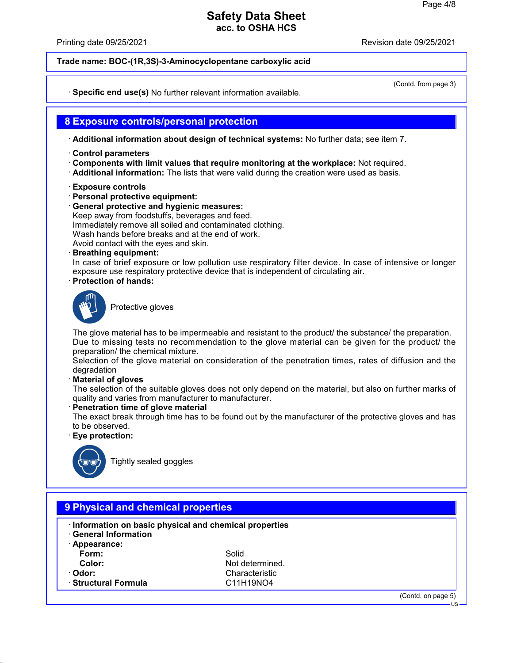Printing date 09/25/2021 Revision date 09/25/2021

**Trade name: BOC-(1R,3S)-3-Aminocyclopentane carboxylic acid**

(Contd. from page 3)

· **Specific end use(s)** No further relevant information available.

#### **8 Exposure controls/personal protection**

· **Additional information about design of technical systems:** No further data; see item 7.

- · **Control parameters**
- · **Components with limit values that require monitoring at the workplace:** Not required.
- · **Additional information:** The lists that were valid during the creation were used as basis.
- · **Exposure controls**
- · **Personal protective equipment:**
- · **General protective and hygienic measures:** Keep away from foodstuffs, beverages and feed.
- Immediately remove all soiled and contaminated clothing.

Wash hands before breaks and at the end of work.

- Avoid contact with the eyes and skin.
- · **Breathing equipment:**

In case of brief exposure or low pollution use respiratory filter device. In case of intensive or longer exposure use respiratory protective device that is independent of circulating air.

· **Protection of hands:**



Protective gloves

The glove material has to be impermeable and resistant to the product/ the substance/ the preparation. Due to missing tests no recommendation to the glove material can be given for the product/ the preparation/ the chemical mixture.

Selection of the glove material on consideration of the penetration times, rates of diffusion and the degradation

· **Material of gloves**

The selection of the suitable gloves does not only depend on the material, but also on further marks of quality and varies from manufacturer to manufacturer.

· **Penetration time of glove material**

The exact break through time has to be found out by the manufacturer of the protective gloves and has to be observed.

· **Eye protection:**



Tightly sealed goggles

| Information on basic physical and chemical properties<br><b>General Information</b> |                 |  |
|-------------------------------------------------------------------------------------|-----------------|--|
| $\cdot$ Appearance:                                                                 |                 |  |
| Form:                                                                               | Solid           |  |
| Color:                                                                              | Not determined. |  |
| · Odor:                                                                             | Characteristic  |  |
| · Structural Formula                                                                | C11H19NO4       |  |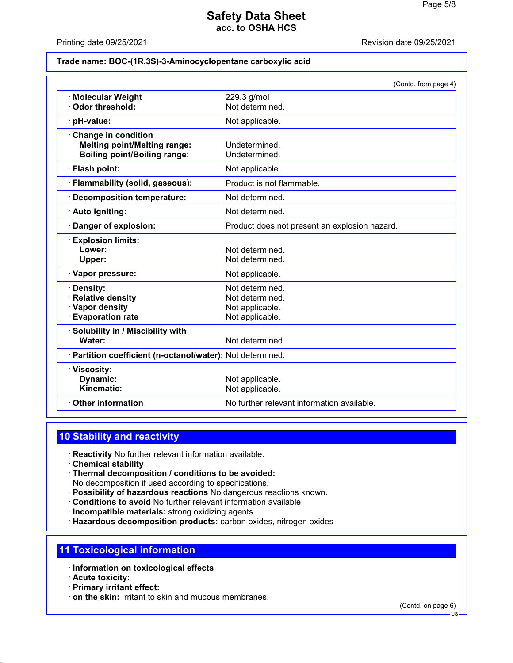Printing date 09/25/2021 Revision date 09/25/2021

#### **Trade name: BOC-(1R,3S)-3-Aminocyclopentane carboxylic acid**

|                                                                        | (Contd. from page 4)                          |  |
|------------------------------------------------------------------------|-----------------------------------------------|--|
| <b>Molecular Weight</b>                                                | 229.3 g/mol                                   |  |
| Odor threshold:                                                        | Not determined.                               |  |
| pH-value:                                                              | Not applicable.                               |  |
| <b>Change in condition</b>                                             |                                               |  |
| <b>Melting point/Melting range:</b>                                    | Undetermined.                                 |  |
| <b>Boiling point/Boiling range:</b>                                    | Undetermined.                                 |  |
| · Flash point:                                                         | Not applicable.                               |  |
| · Flammability (solid, gaseous):                                       | Product is not flammable.                     |  |
| <b>Decomposition temperature:</b>                                      | Not determined.                               |  |
| · Auto igniting:                                                       | Not determined.                               |  |
| Danger of explosion:                                                   | Product does not present an explosion hazard. |  |
| <b>Explosion limits:</b>                                               |                                               |  |
| Lower:                                                                 | Not determined.                               |  |
| Upper:                                                                 | Not determined.                               |  |
| · Vapor pressure:                                                      | Not applicable.                               |  |
| Density:                                                               | Not determined.                               |  |
| <b>Relative density</b>                                                | Not determined.                               |  |
| · Vapor density                                                        | Not applicable.                               |  |
| <b>Evaporation rate</b>                                                | Not applicable.                               |  |
| Solubility in / Miscibility with                                       |                                               |  |
| Water:                                                                 | Not determined.                               |  |
| · Partition coefficient (n-octanol/water): Not determined.             |                                               |  |
| · Viscosity:                                                           |                                               |  |
| Dynamic:                                                               | Not applicable.                               |  |
| Kinematic:                                                             | Not applicable.                               |  |
| No further relevant information available.<br><b>Other information</b> |                                               |  |
|                                                                        |                                               |  |

## **10 Stability and reactivity**

- · **Reactivity** No further relevant information available.
- · **Chemical stability**
- · **Thermal decomposition / conditions to be avoided:** No decomposition if used according to specifications.
- · **Possibility of hazardous reactions** No dangerous reactions known.
- · **Conditions to avoid** No further relevant information available.
- · **Incompatible materials:** strong oxidizing agents
- · **Hazardous decomposition products:** carbon oxides, nitrogen oxides

#### **11 Toxicological information**

- · **Information on toxicological effects**
- · **Acute toxicity:**
- · **Primary irritant effect:**
- · **on the skin:** Irritant to skin and mucous membranes.

(Contd. on page 6)

US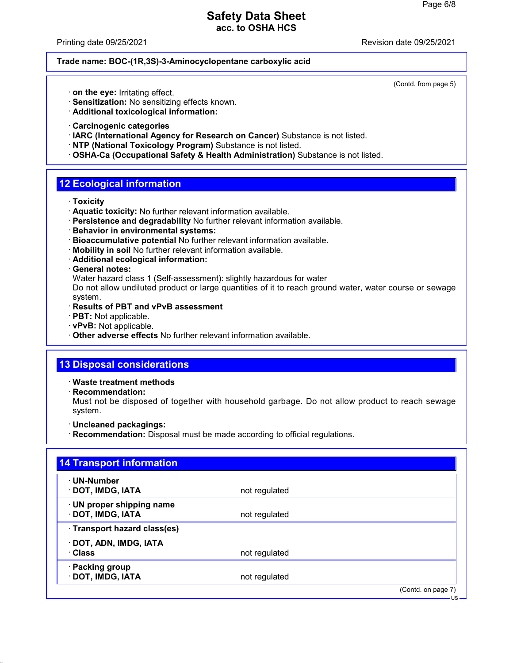Printing date 09/25/2021 Revision date 09/25/2021

#### **Trade name: BOC-(1R,3S)-3-Aminocyclopentane carboxylic acid**

(Contd. from page 5)

- · **on the eye:** Irritating effect.
- · **Sensitization:** No sensitizing effects known.
- · **Additional toxicological information:**
- · **Carcinogenic categories**
- · **IARC (International Agency for Research on Cancer)** Substance is not listed.
- · **NTP (National Toxicology Program)** Substance is not listed.
- · **OSHA-Ca (Occupational Safety & Health Administration)** Substance is not listed.

### **12 Ecological information**

- · **Toxicity**
- · **Aquatic toxicity:** No further relevant information available.
- · **Persistence and degradability** No further relevant information available.
- · **Behavior in environmental systems:**
- · **Bioaccumulative potential** No further relevant information available.
- · **Mobility in soil** No further relevant information available.
- · **Additional ecological information:**
- · **General notes:**

Water hazard class 1 (Self-assessment): slightly hazardous for water

Do not allow undiluted product or large quantities of it to reach ground water, water course or sewage system.

- · **Results of PBT and vPvB assessment**
- · **PBT:** Not applicable.
- · **vPvB:** Not applicable.
- · **Other adverse effects** No further relevant information available.

### **13 Disposal considerations**

· **Waste treatment methods**

· **Recommendation:**

Must not be disposed of together with household garbage. Do not allow product to reach sewage system.

- · **Uncleaned packagings:**
- · **Recommendation:** Disposal must be made according to official regulations.

| · UN-Number                  |               |  |
|------------------------------|---------------|--|
| · DOT, IMDG, IATA            | not regulated |  |
| · UN proper shipping name    |               |  |
| · DOT, IMDG, IATA            | not regulated |  |
| · Transport hazard class(es) |               |  |
| · DOT, ADN, IMDG, IATA       |               |  |
| · Class                      | not regulated |  |
| · Packing group              |               |  |
| · DOT, IMDG, IATA            | not regulated |  |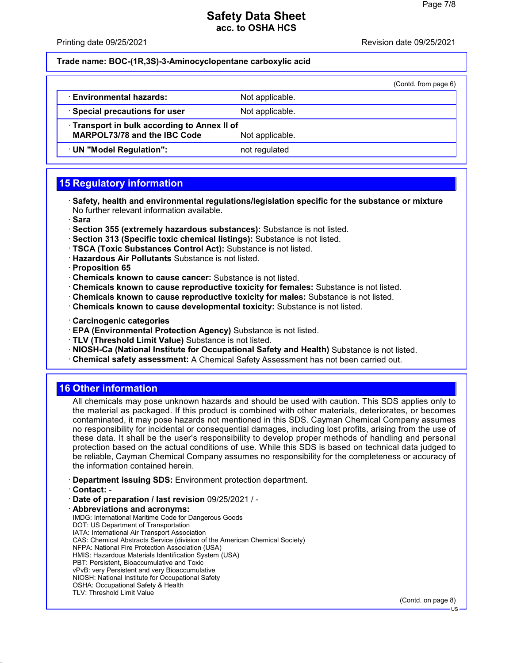Printing date 09/25/2021 Revision date 09/25/2021

#### **Trade name: BOC-(1R,3S)-3-Aminocyclopentane carboxylic acid**

|                                            |                 | (Contd. from page 6) |  |  |
|--------------------------------------------|-----------------|----------------------|--|--|
| · Environmental hazards:                   | Not applicable. |                      |  |  |
| · Special precautions for user             | Not applicable. |                      |  |  |
| Transport in bulk according to Annex II of |                 |                      |  |  |
| <b>MARPOL73/78 and the IBC Code</b>        | Not applicable. |                      |  |  |
| · UN "Model Regulation":                   | not regulated   |                      |  |  |

# **15 Regulatory information**

- · **Safety, health and environmental regulations/legislation specific for the substance or mixture** No further relevant information available.
- · **Sara**
- · **Section 355 (extremely hazardous substances):** Substance is not listed.
- · **Section 313 (Specific toxic chemical listings):** Substance is not listed.
- · **TSCA (Toxic Substances Control Act):** Substance is not listed.
- · **Hazardous Air Pollutants** Substance is not listed.
- · **Proposition 65**
- · **Chemicals known to cause cancer:** Substance is not listed.
- · **Chemicals known to cause reproductive toxicity for females:** Substance is not listed.
- · **Chemicals known to cause reproductive toxicity for males:** Substance is not listed.
- · **Chemicals known to cause developmental toxicity:** Substance is not listed.
- · **Carcinogenic categories**
- · **EPA (Environmental Protection Agency)** Substance is not listed.
- · **TLV (Threshold Limit Value)** Substance is not listed.
- · **NIOSH-Ca (National Institute for Occupational Safety and Health)** Substance is not listed.
- · **Chemical safety assessment:** A Chemical Safety Assessment has not been carried out.

## **16 Other information**

All chemicals may pose unknown hazards and should be used with caution. This SDS applies only to the material as packaged. If this product is combined with other materials, deteriorates, or becomes contaminated, it may pose hazards not mentioned in this SDS. Cayman Chemical Company assumes no responsibility for incidental or consequential damages, including lost profits, arising from the use of these data. It shall be the user's responsibility to develop proper methods of handling and personal protection based on the actual conditions of use. While this SDS is based on technical data judged to be reliable, Cayman Chemical Company assumes no responsibility for the completeness or accuracy of the information contained herein.

- · **Department issuing SDS:** Environment protection department.
- · **Contact:** -
- · **Date of preparation / last revision** 09/25/2021 / -
- · **Abbreviations and acronyms:** IMDG: International Maritime Code for Dangerous Goods DOT: US Department of Transportation IATA: International Air Transport Association CAS: Chemical Abstracts Service (division of the American Chemical Society) NFPA: National Fire Protection Association (USA) HMIS: Hazardous Materials Identification System (USA) PBT: Persistent, Bioaccumulative and Toxic vPvB: very Persistent and very Bioaccumulative NIOSH: National Institute for Occupational Safety OSHA: Occupational Safety & Health TLV: Threshold Limit Value

(Contd. on page 8)

US